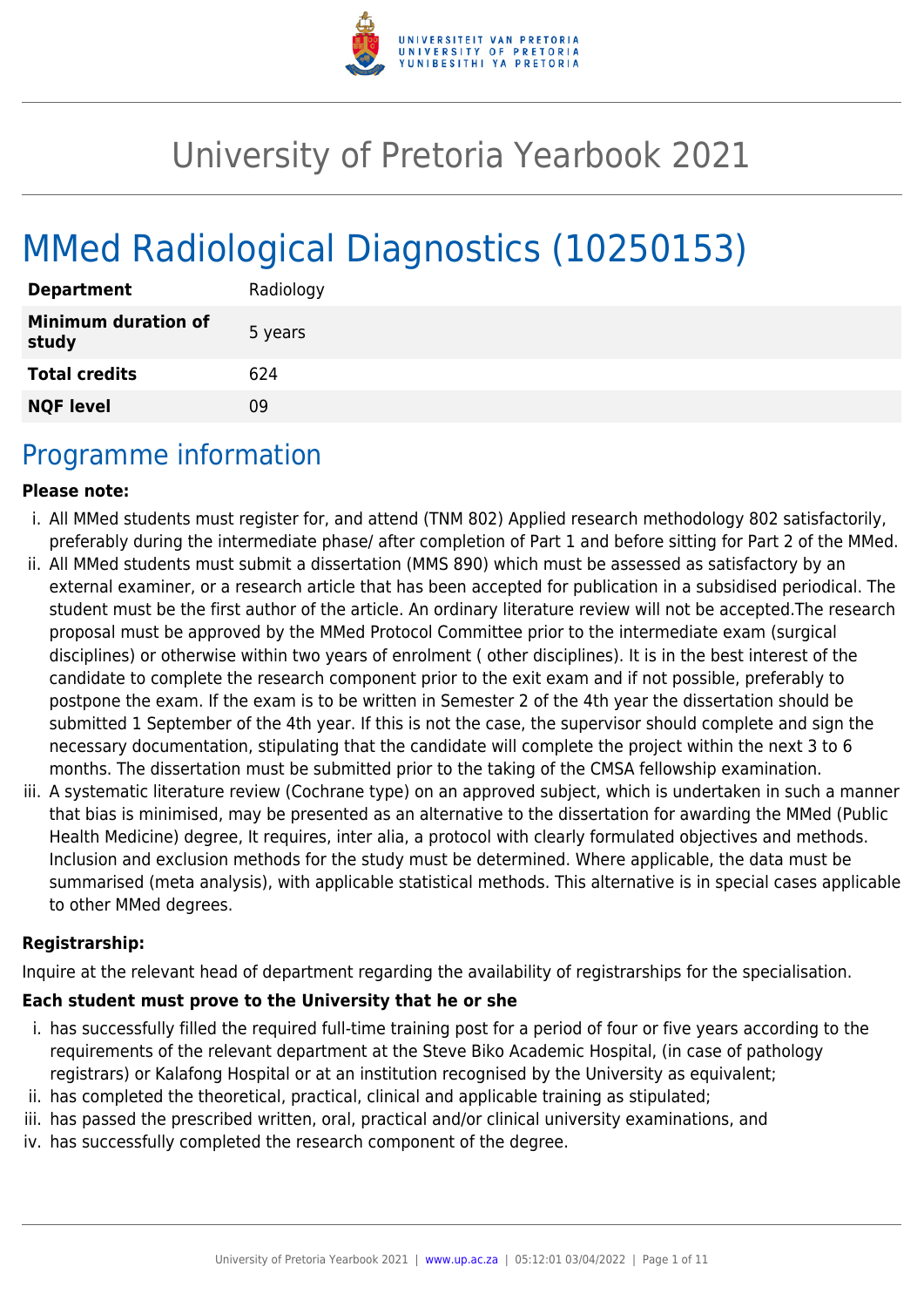

# University of Pretoria Yearbook 2021

# MMed Radiological Diagnostics (10250153)

| <b>Department</b>                   | Radiology |
|-------------------------------------|-----------|
| <b>Minimum duration of</b><br>study | 5 years   |
| <b>Total credits</b>                | 624       |
| <b>NQF level</b>                    | Ωd        |

# Programme information

#### **Please note:**

- i. All MMed students must register for, and attend (TNM 802) Applied research methodology 802 satisfactorily, preferably during the intermediate phase/ after completion of Part 1 and before sitting for Part 2 of the MMed.
- ii. All MMed students must submit a dissertation (MMS 890) which must be assessed as satisfactory by an external examiner, or a research article that has been accepted for publication in a subsidised periodical. The student must be the first author of the article. An ordinary literature review will not be accepted.The research proposal must be approved by the MMed Protocol Committee prior to the intermediate exam (surgical disciplines) or otherwise within two years of enrolment ( other disciplines). It is in the best interest of the candidate to complete the research component prior to the exit exam and if not possible, preferably to postpone the exam. If the exam is to be written in Semester 2 of the 4th year the dissertation should be submitted 1 September of the 4th year. If this is not the case, the supervisor should complete and sign the necessary documentation, stipulating that the candidate will complete the project within the next 3 to 6 months. The dissertation must be submitted prior to the taking of the CMSA fellowship examination.
- iii. A systematic literature review (Cochrane type) on an approved subject, which is undertaken in such a manner that bias is minimised, may be presented as an alternative to the dissertation for awarding the MMed (Public Health Medicine) degree, It requires, inter alia, a protocol with clearly formulated objectives and methods. Inclusion and exclusion methods for the study must be determined. Where applicable, the data must be summarised (meta analysis), with applicable statistical methods. This alternative is in special cases applicable to other MMed degrees.

#### **Registrarship:**

Inquire at the relevant head of department regarding the availability of registrarships for the specialisation.

#### **Each student must prove to the University that he or she**

- i. has successfully filled the required full-time training post for a period of four or five years according to the requirements of the relevant department at the Steve Biko Academic Hospital, (in case of pathology registrars) or Kalafong Hospital or at an institution recognised by the University as equivalent;
- ii. has completed the theoretical, practical, clinical and applicable training as stipulated;
- iii. has passed the prescribed written, oral, practical and/or clinical university examinations, and
- iv. has successfully completed the research component of the degree.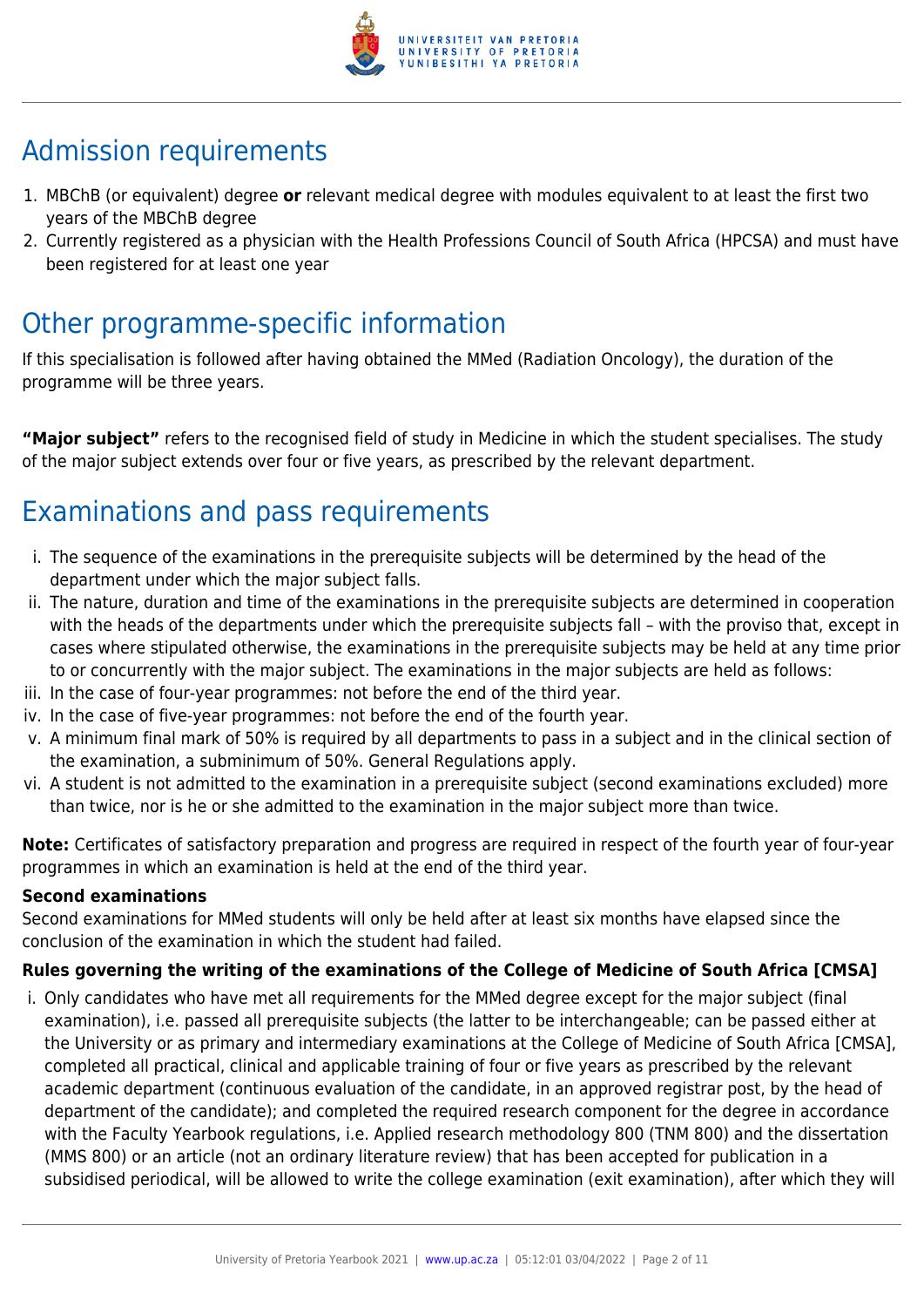

# Admission requirements

- 1. MBChB (or equivalent) degree **or** relevant medical degree with modules equivalent to at least the first two years of the MBChB degree
- 2. Currently registered as a physician with the Health Professions Council of South Africa (HPCSA) and must have been registered for at least one year

# Other programme-specific information

If this specialisation is followed after having obtained the MMed (Radiation Oncology), the duration of the programme will be three years.

**"Major subject"** refers to the recognised field of study in Medicine in which the student specialises. The study of the major subject extends over four or five years, as prescribed by the relevant department.

# Examinations and pass requirements

- i. The sequence of the examinations in the prerequisite subjects will be determined by the head of the department under which the major subject falls.
- ii. The nature, duration and time of the examinations in the prerequisite subjects are determined in cooperation with the heads of the departments under which the prerequisite subjects fall – with the proviso that, except in cases where stipulated otherwise, the examinations in the prerequisite subjects may be held at any time prior to or concurrently with the major subject. The examinations in the major subjects are held as follows:
- iii. In the case of four-year programmes: not before the end of the third year.
- iv. In the case of five-year programmes: not before the end of the fourth year.
- v. A minimum final mark of 50% is required by all departments to pass in a subject and in the clinical section of the examination, a subminimum of 50%. General Regulations apply.
- vi. A student is not admitted to the examination in a prerequisite subject (second examinations excluded) more than twice, nor is he or she admitted to the examination in the major subject more than twice.

**Note:** Certificates of satisfactory preparation and progress are required in respect of the fourth year of four-year programmes in which an examination is held at the end of the third year.

#### **Second examinations**

Second examinations for MMed students will only be held after at least six months have elapsed since the conclusion of the examination in which the student had failed.

#### **Rules governing the writing of the examinations of the College of Medicine of South Africa [CMSA]**

i. Only candidates who have met all requirements for the MMed degree except for the major subject (final examination), i.e. passed all prerequisite subjects (the latter to be interchangeable; can be passed either at the University or as primary and intermediary examinations at the College of Medicine of South Africa [CMSA], completed all practical, clinical and applicable training of four or five years as prescribed by the relevant academic department (continuous evaluation of the candidate, in an approved registrar post, by the head of department of the candidate); and completed the required research component for the degree in accordance with the Faculty Yearbook regulations, i.e. Applied research methodology 800 (TNM 800) and the dissertation (MMS 800) or an article (not an ordinary literature review) that has been accepted for publication in a subsidised periodical, will be allowed to write the college examination (exit examination), after which they will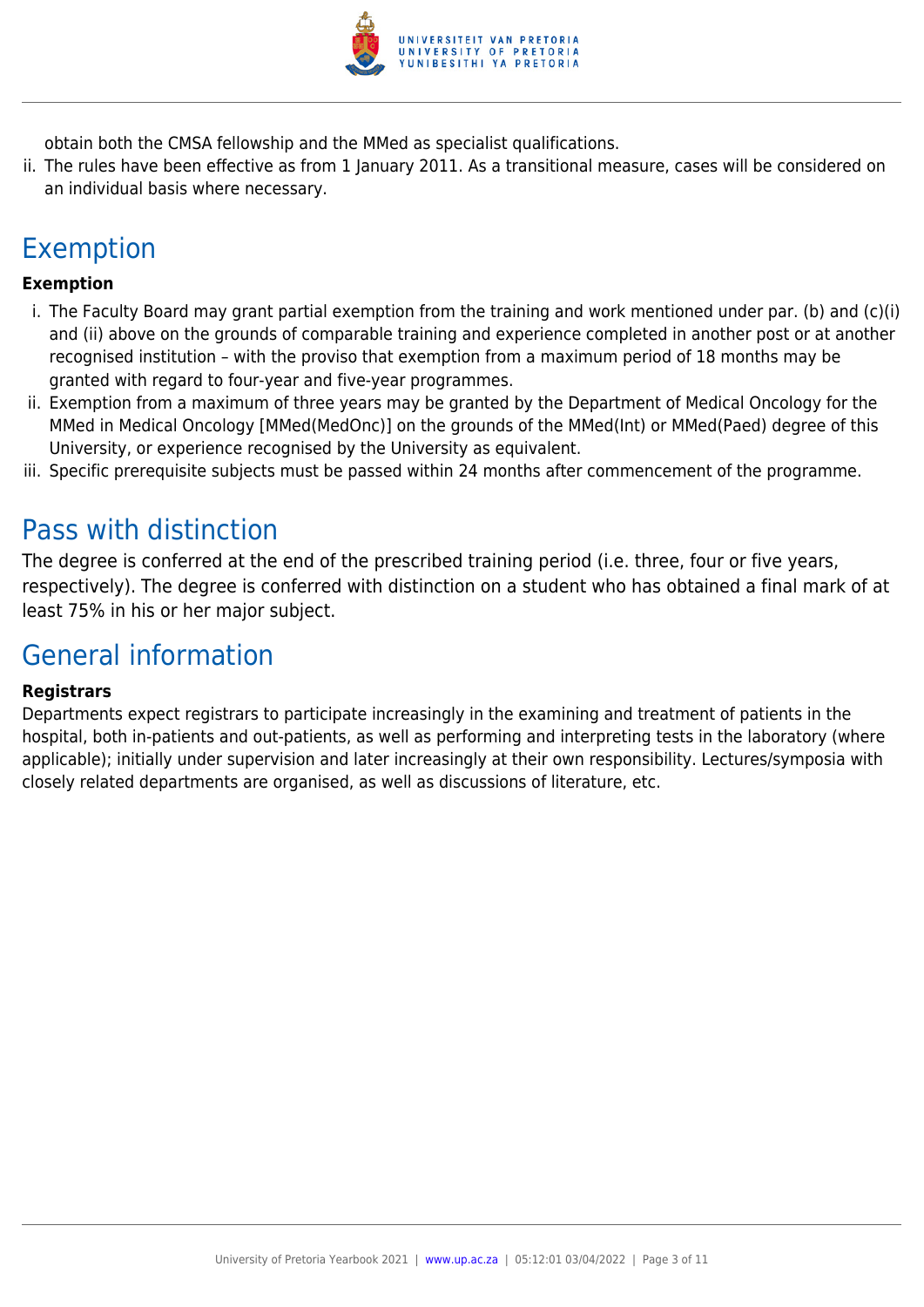

obtain both the CMSA fellowship and the MMed as specialist qualifications.

ii. The rules have been effective as from 1 January 2011. As a transitional measure, cases will be considered on an individual basis where necessary.

# Exemption

#### **Exemption**

- i. The Faculty Board may grant partial exemption from the training and work mentioned under par. (b) and (c)(i) and (ii) above on the grounds of comparable training and experience completed in another post or at another recognised institution – with the proviso that exemption from a maximum period of 18 months may be granted with regard to four-year and five-year programmes.
- ii. Exemption from a maximum of three years may be granted by the Department of Medical Oncology for the MMed in Medical Oncology [MMed(MedOnc)] on the grounds of the MMed(Int) or MMed(Paed) degree of this University, or experience recognised by the University as equivalent.
- iii. Specific prerequisite subjects must be passed within 24 months after commencement of the programme.

# Pass with distinction

The degree is conferred at the end of the prescribed training period (i.e. three, four or five years, respectively). The degree is conferred with distinction on a student who has obtained a final mark of at least 75% in his or her major subject.

# General information

#### **Registrars**

Departments expect registrars to participate increasingly in the examining and treatment of patients in the hospital, both in-patients and out-patients, as well as performing and interpreting tests in the laboratory (where applicable); initially under supervision and later increasingly at their own responsibility. Lectures/symposia with closely related departments are organised, as well as discussions of literature, etc.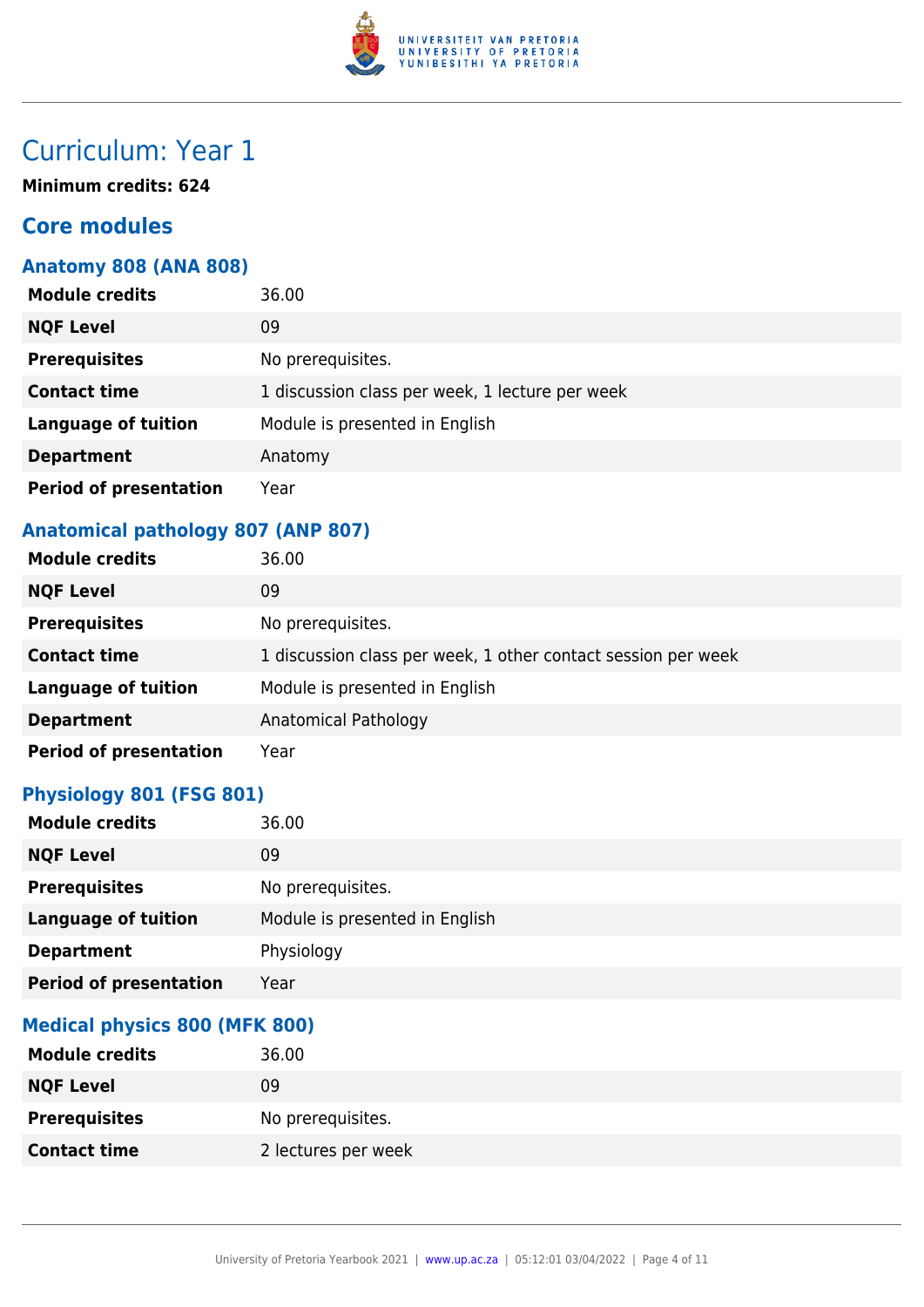

**Minimum credits: 624**

# **Core modules**

#### **Anatomy 808 (ANA 808)**

| <b>Module credits</b>         | 36.00                                           |
|-------------------------------|-------------------------------------------------|
| <b>NQF Level</b>              | 09                                              |
| <b>Prerequisites</b>          | No prerequisites.                               |
| <b>Contact time</b>           | 1 discussion class per week, 1 lecture per week |
| <b>Language of tuition</b>    | Module is presented in English                  |
| <b>Department</b>             | Anatomy                                         |
| <b>Period of presentation</b> | Year                                            |

### **Anatomical pathology 807 (ANP 807)**

| <b>Module credits</b>         | 36.00                                                         |
|-------------------------------|---------------------------------------------------------------|
| <b>NQF Level</b>              | 09                                                            |
| <b>Prerequisites</b>          | No prerequisites.                                             |
| <b>Contact time</b>           | 1 discussion class per week, 1 other contact session per week |
| <b>Language of tuition</b>    | Module is presented in English                                |
| <b>Department</b>             | Anatomical Pathology                                          |
| <b>Period of presentation</b> | Year                                                          |

#### **Physiology 801 (FSG 801)**

| <b>Module credits</b>         | 36.00                          |
|-------------------------------|--------------------------------|
| <b>NQF Level</b>              | 09                             |
| <b>Prerequisites</b>          | No prerequisites.              |
| <b>Language of tuition</b>    | Module is presented in English |
| <b>Department</b>             | Physiology                     |
| <b>Period of presentation</b> | Year                           |

#### **Medical physics 800 (MFK 800)**

| <b>Module credits</b> | 36.00               |
|-----------------------|---------------------|
| <b>NQF Level</b>      | 09                  |
| <b>Prerequisites</b>  | No prerequisites.   |
| <b>Contact time</b>   | 2 lectures per week |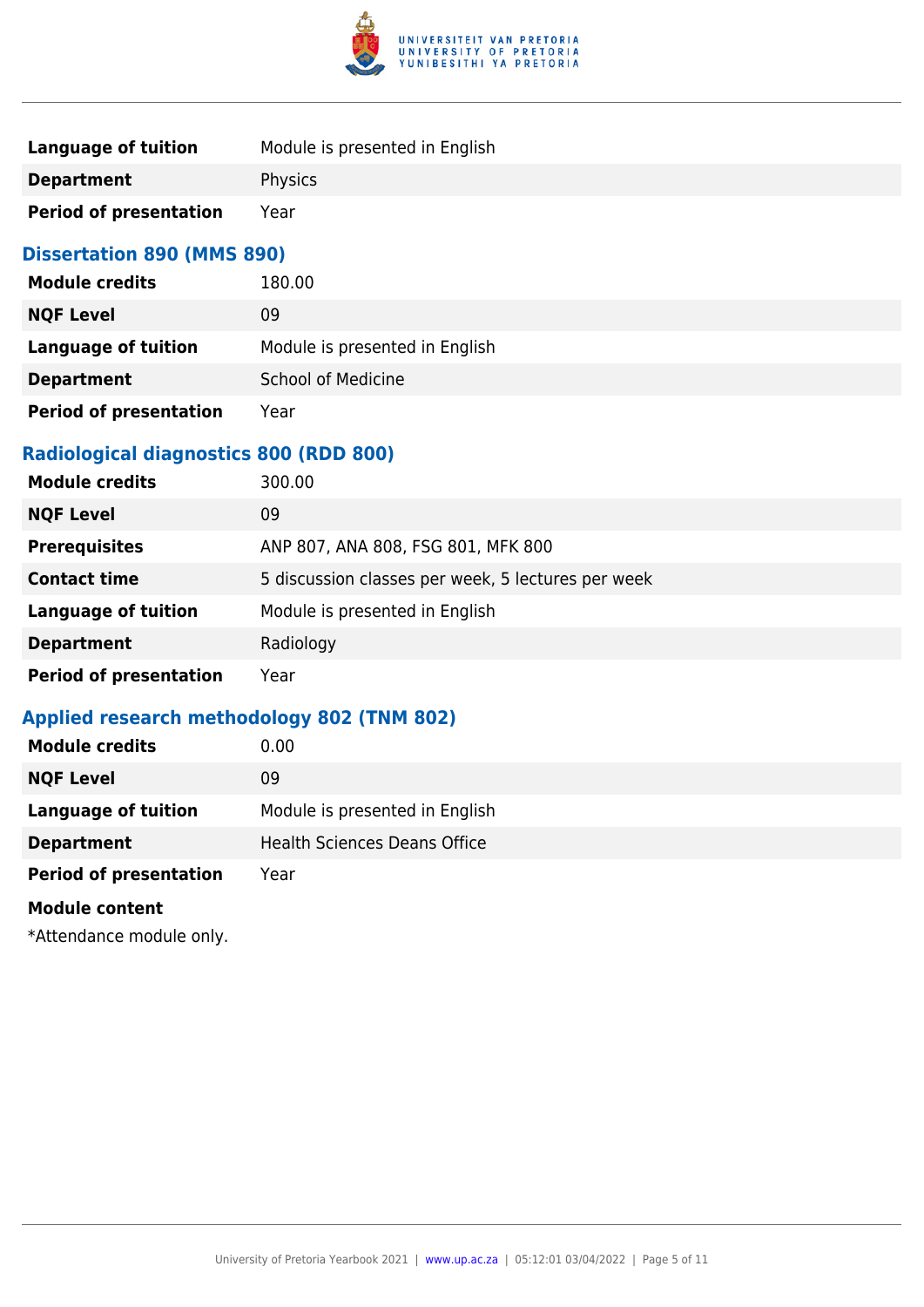

| Language of tuition           | Module is presented in English |
|-------------------------------|--------------------------------|
| <b>Department</b>             | <b>Physics</b>                 |
| <b>Period of presentation</b> | Year                           |

#### **Dissertation 890 (MMS 890)**

| <b>Module credits</b>         | 180.00                         |
|-------------------------------|--------------------------------|
| <b>NQF Level</b>              | 09                             |
| <b>Language of tuition</b>    | Module is presented in English |
| <b>Department</b>             | <b>School of Medicine</b>      |
| <b>Period of presentation</b> | Year                           |

#### **Radiological diagnostics 800 (RDD 800)**

| <b>Module credits</b>         | 300.00                                             |
|-------------------------------|----------------------------------------------------|
| <b>NQF Level</b>              | 09                                                 |
| <b>Prerequisites</b>          | ANP 807, ANA 808, FSG 801, MFK 800                 |
| <b>Contact time</b>           | 5 discussion classes per week, 5 lectures per week |
| <b>Language of tuition</b>    | Module is presented in English                     |
| <b>Department</b>             | Radiology                                          |
| <b>Period of presentation</b> | Year                                               |

### **Applied research methodology 802 (TNM 802)**

| <b>Module credits</b>         | 0.00                                |
|-------------------------------|-------------------------------------|
| <b>NQF Level</b>              | 09                                  |
| <b>Language of tuition</b>    | Module is presented in English      |
| <b>Department</b>             | <b>Health Sciences Deans Office</b> |
| <b>Period of presentation</b> | Year                                |
| <b>Module content</b>         |                                     |
|                               |                                     |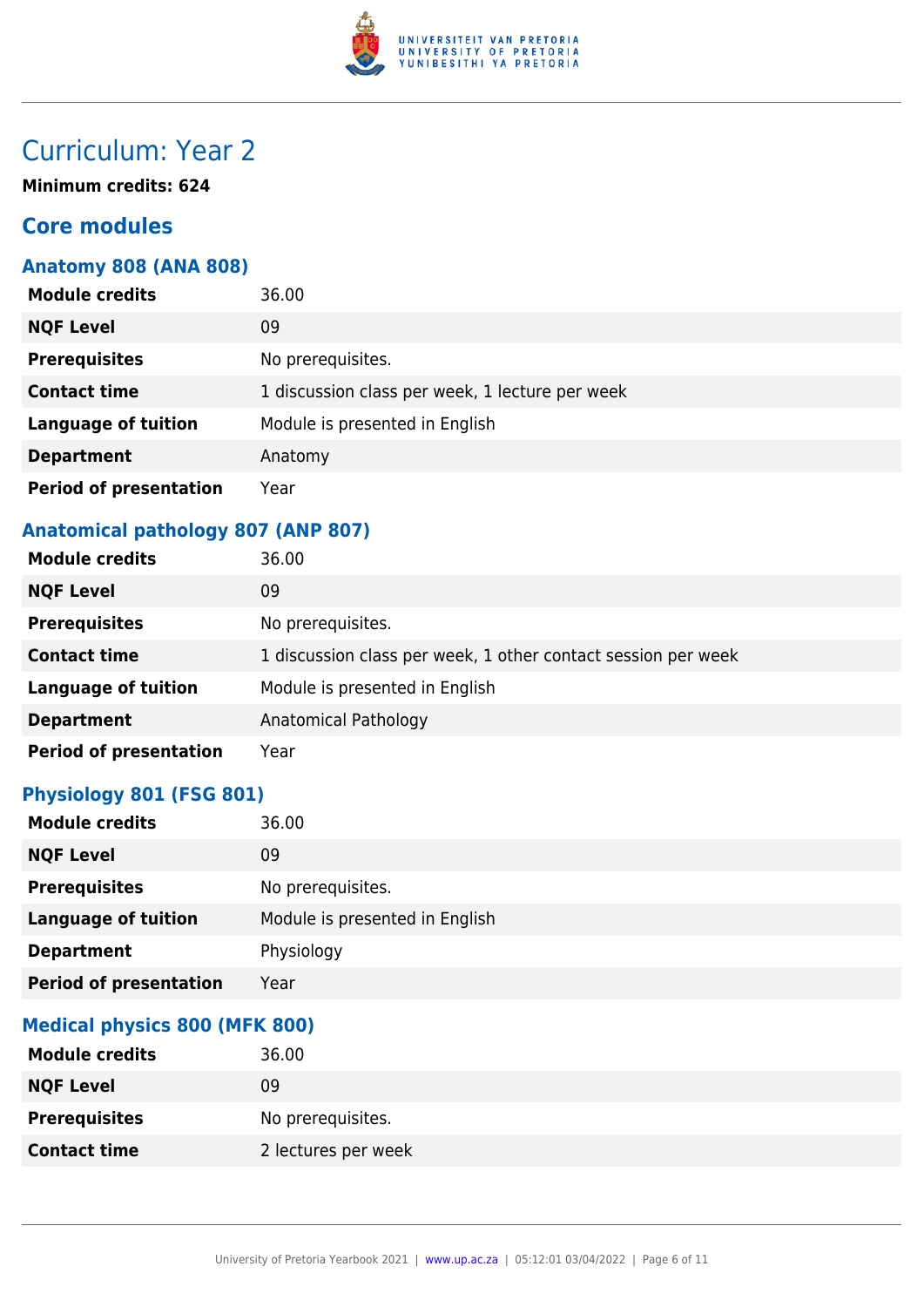

**Minimum credits: 624**

# **Core modules**

#### **Anatomy 808 (ANA 808)**

| <b>Module credits</b>         | 36.00                                           |
|-------------------------------|-------------------------------------------------|
| <b>NQF Level</b>              | 09                                              |
| <b>Prerequisites</b>          | No prerequisites.                               |
| <b>Contact time</b>           | 1 discussion class per week, 1 lecture per week |
| <b>Language of tuition</b>    | Module is presented in English                  |
| <b>Department</b>             | Anatomy                                         |
| <b>Period of presentation</b> | Year                                            |

### **Anatomical pathology 807 (ANP 807)**

| <b>Module credits</b>         | 36.00                                                         |
|-------------------------------|---------------------------------------------------------------|
| <b>NQF Level</b>              | 09                                                            |
| <b>Prerequisites</b>          | No prerequisites.                                             |
| <b>Contact time</b>           | 1 discussion class per week, 1 other contact session per week |
| <b>Language of tuition</b>    | Module is presented in English                                |
| <b>Department</b>             | Anatomical Pathology                                          |
| <b>Period of presentation</b> | Year                                                          |

#### **Physiology 801 (FSG 801)**

| <b>Module credits</b>         | 36.00                          |
|-------------------------------|--------------------------------|
| <b>NQF Level</b>              | 09                             |
| <b>Prerequisites</b>          | No prerequisites.              |
| <b>Language of tuition</b>    | Module is presented in English |
| <b>Department</b>             | Physiology                     |
| <b>Period of presentation</b> | Year                           |

#### **Medical physics 800 (MFK 800)**

| <b>Module credits</b> | 36.00               |
|-----------------------|---------------------|
| <b>NQF Level</b>      | 09                  |
| <b>Prerequisites</b>  | No prerequisites.   |
| <b>Contact time</b>   | 2 lectures per week |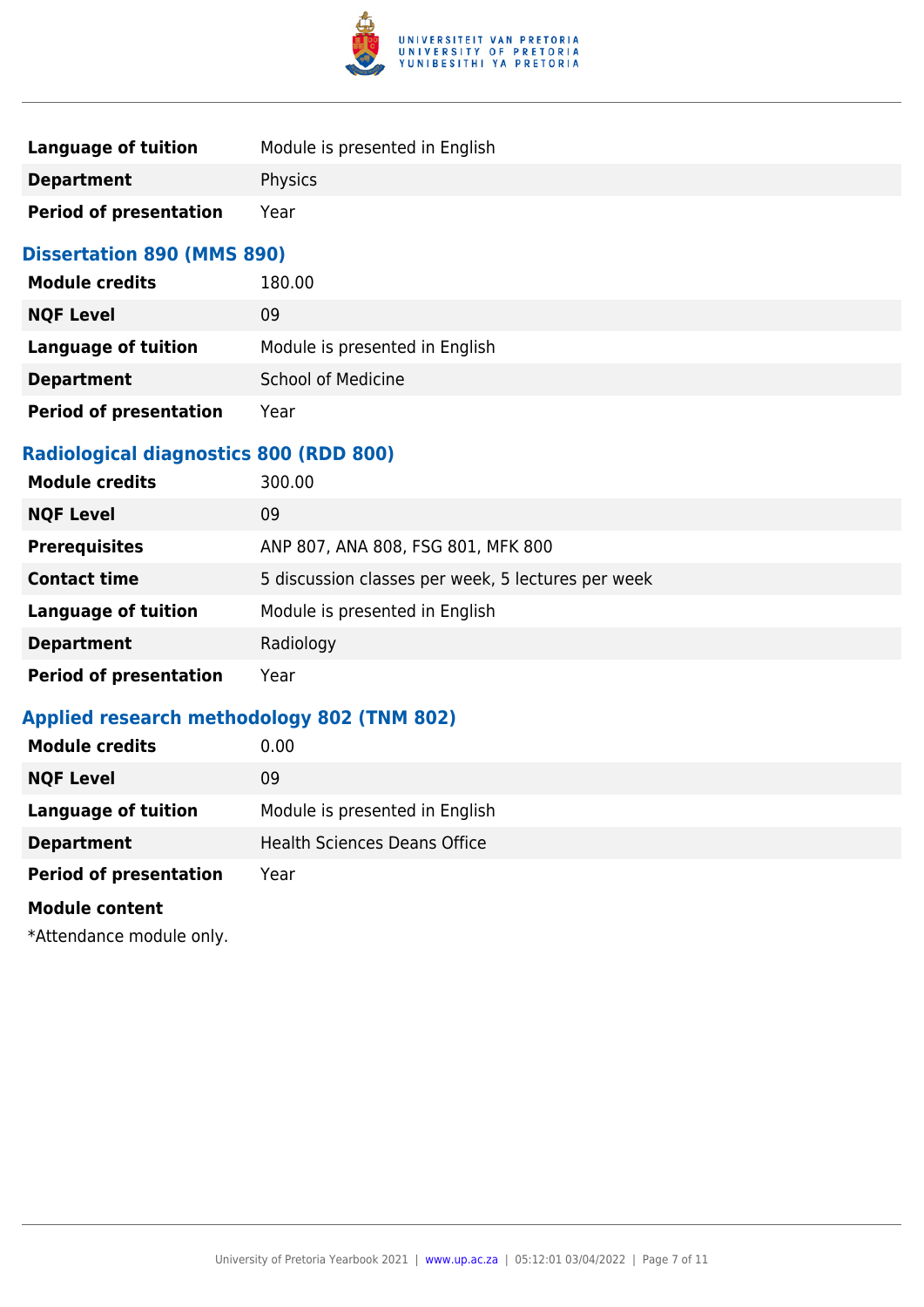

| Language of tuition           | Module is presented in English |
|-------------------------------|--------------------------------|
| <b>Department</b>             | <b>Physics</b>                 |
| <b>Period of presentation</b> | Year                           |

#### **Dissertation 890 (MMS 890)**

| <b>Module credits</b>         | 180.00                         |
|-------------------------------|--------------------------------|
| <b>NQF Level</b>              | 09                             |
| <b>Language of tuition</b>    | Module is presented in English |
| <b>Department</b>             | <b>School of Medicine</b>      |
| <b>Period of presentation</b> | Year                           |

#### **Radiological diagnostics 800 (RDD 800)**

| <b>Module credits</b>         | 300.00                                             |
|-------------------------------|----------------------------------------------------|
| <b>NQF Level</b>              | 09                                                 |
| <b>Prerequisites</b>          | ANP 807, ANA 808, FSG 801, MFK 800                 |
| <b>Contact time</b>           | 5 discussion classes per week, 5 lectures per week |
| <b>Language of tuition</b>    | Module is presented in English                     |
| <b>Department</b>             | Radiology                                          |
| <b>Period of presentation</b> | Year                                               |

### **Applied research methodology 802 (TNM 802)**

| <b>Module credits</b>         | 0.00                                |
|-------------------------------|-------------------------------------|
| <b>NQF Level</b>              | 09                                  |
| <b>Language of tuition</b>    | Module is presented in English      |
| <b>Department</b>             | <b>Health Sciences Deans Office</b> |
| <b>Period of presentation</b> | Year                                |
| <b>Module content</b>         |                                     |
|                               |                                     |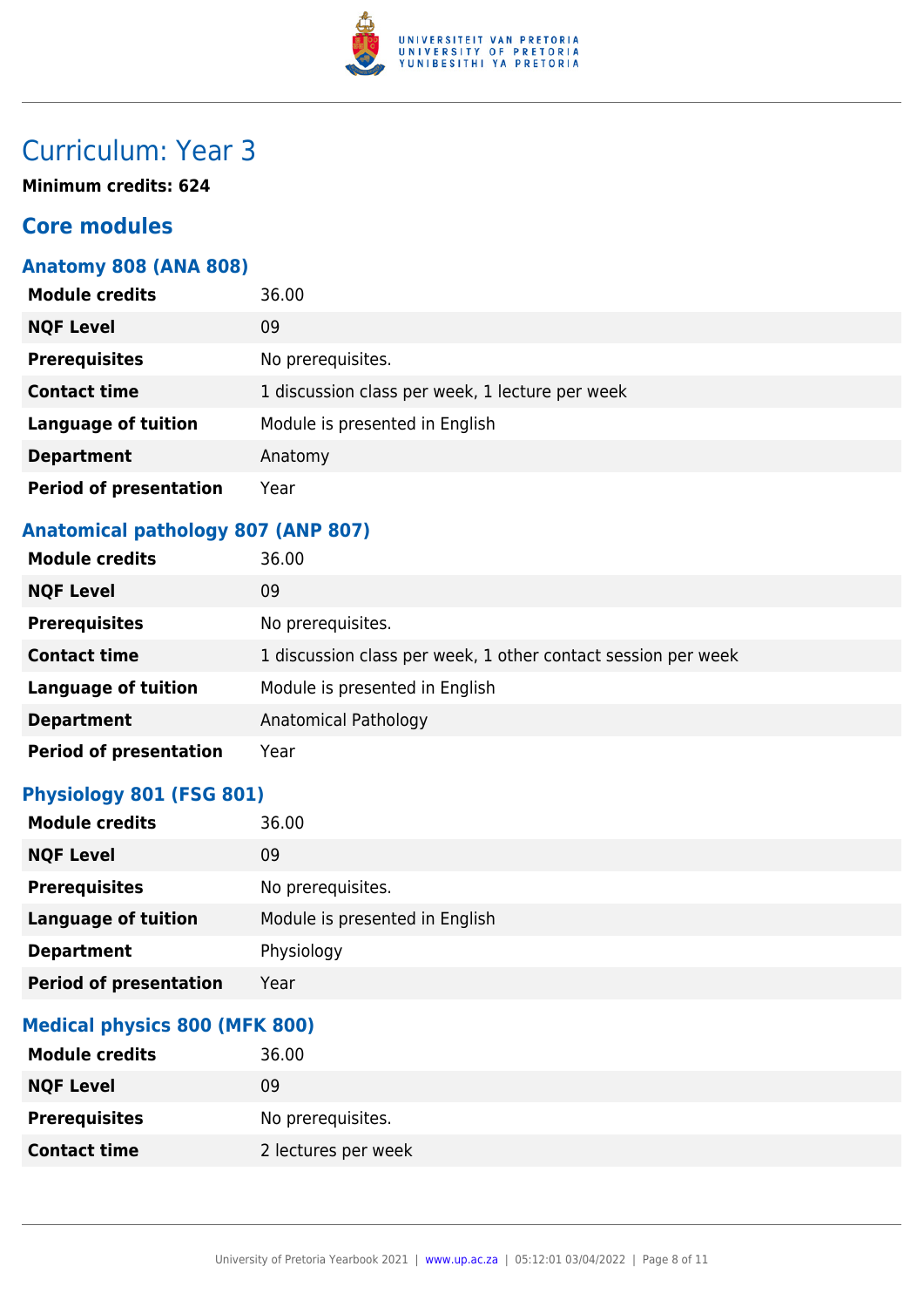

**Minimum credits: 624**

# **Core modules**

#### **Anatomy 808 (ANA 808)**

| <b>Module credits</b>         | 36.00                                           |
|-------------------------------|-------------------------------------------------|
| <b>NQF Level</b>              | 09                                              |
| <b>Prerequisites</b>          | No prerequisites.                               |
| <b>Contact time</b>           | 1 discussion class per week, 1 lecture per week |
| <b>Language of tuition</b>    | Module is presented in English                  |
| <b>Department</b>             | Anatomy                                         |
| <b>Period of presentation</b> | Year                                            |

### **Anatomical pathology 807 (ANP 807)**

| <b>Module credits</b>         | 36.00                                                         |
|-------------------------------|---------------------------------------------------------------|
| <b>NQF Level</b>              | 09                                                            |
| <b>Prerequisites</b>          | No prerequisites.                                             |
| <b>Contact time</b>           | 1 discussion class per week, 1 other contact session per week |
| <b>Language of tuition</b>    | Module is presented in English                                |
| <b>Department</b>             | Anatomical Pathology                                          |
| <b>Period of presentation</b> | Year                                                          |

#### **Physiology 801 (FSG 801)**

| <b>Module credits</b>         | 36.00                          |
|-------------------------------|--------------------------------|
| <b>NQF Level</b>              | 09                             |
| <b>Prerequisites</b>          | No prerequisites.              |
| <b>Language of tuition</b>    | Module is presented in English |
| <b>Department</b>             | Physiology                     |
| <b>Period of presentation</b> | Year                           |

#### **Medical physics 800 (MFK 800)**

| <b>Module credits</b> | 36.00               |
|-----------------------|---------------------|
| <b>NQF Level</b>      | 09                  |
| <b>Prerequisites</b>  | No prerequisites.   |
| <b>Contact time</b>   | 2 lectures per week |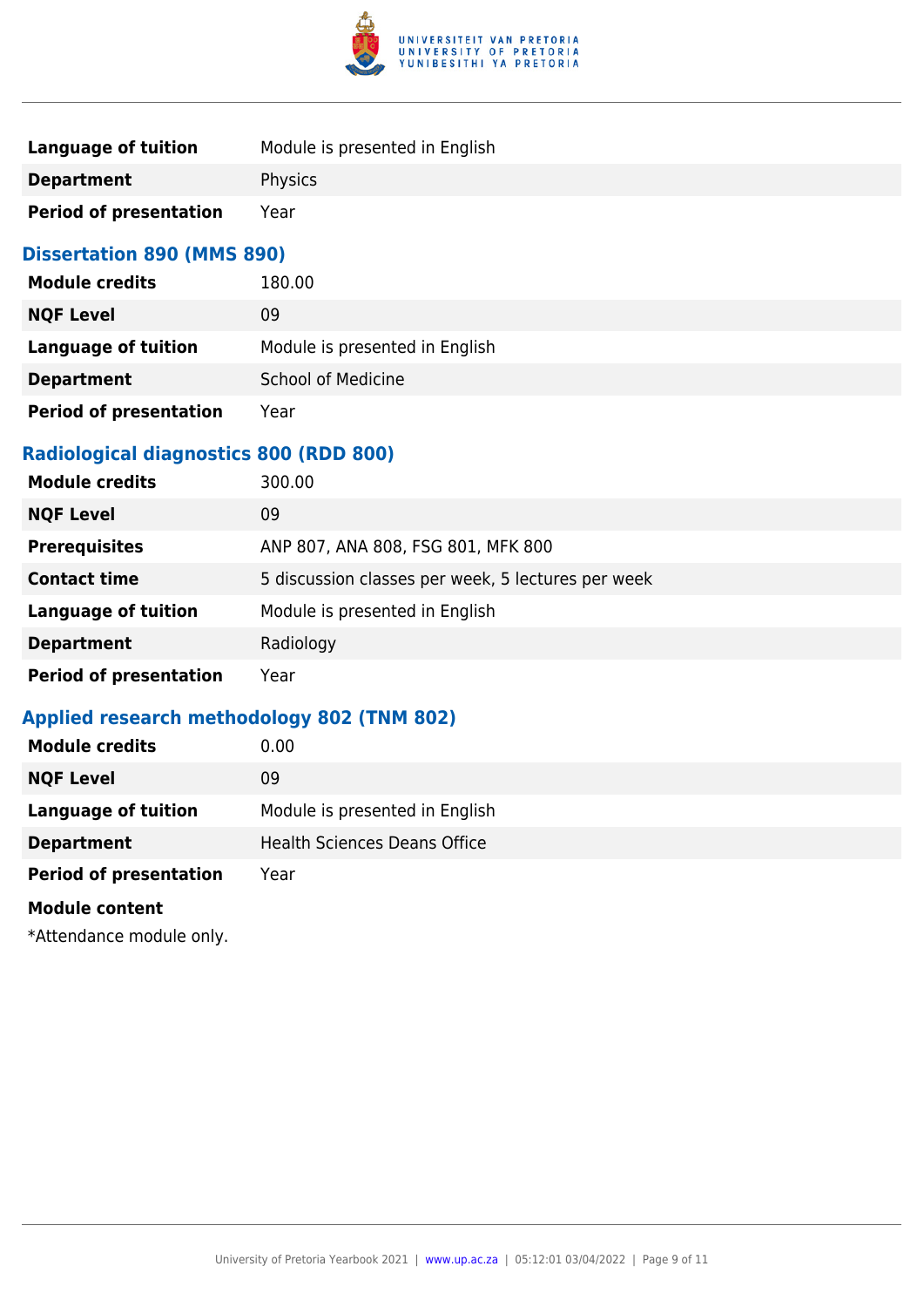

| Language of tuition           | Module is presented in English |
|-------------------------------|--------------------------------|
| <b>Department</b>             | <b>Physics</b>                 |
| <b>Period of presentation</b> | Year                           |

#### **Dissertation 890 (MMS 890)**

| <b>Module credits</b>         | 180.00                         |
|-------------------------------|--------------------------------|
| <b>NQF Level</b>              | 09                             |
| <b>Language of tuition</b>    | Module is presented in English |
| <b>Department</b>             | <b>School of Medicine</b>      |
| <b>Period of presentation</b> | Year                           |

### **Radiological diagnostics 800 (RDD 800)**

| <b>Module credits</b>         | 300.00                                             |
|-------------------------------|----------------------------------------------------|
| <b>NQF Level</b>              | 09                                                 |
| <b>Prerequisites</b>          | ANP 807, ANA 808, FSG 801, MFK 800                 |
| <b>Contact time</b>           | 5 discussion classes per week, 5 lectures per week |
| <b>Language of tuition</b>    | Module is presented in English                     |
| <b>Department</b>             | Radiology                                          |
| <b>Period of presentation</b> | Year                                               |

### **Applied research methodology 802 (TNM 802)**

| <b>Module credits</b>         | 0.00                                |
|-------------------------------|-------------------------------------|
| <b>NQF Level</b>              | 09                                  |
| <b>Language of tuition</b>    | Module is presented in English      |
| <b>Department</b>             | <b>Health Sciences Deans Office</b> |
| <b>Period of presentation</b> | Year                                |
| <b>Module content</b>         |                                     |
|                               |                                     |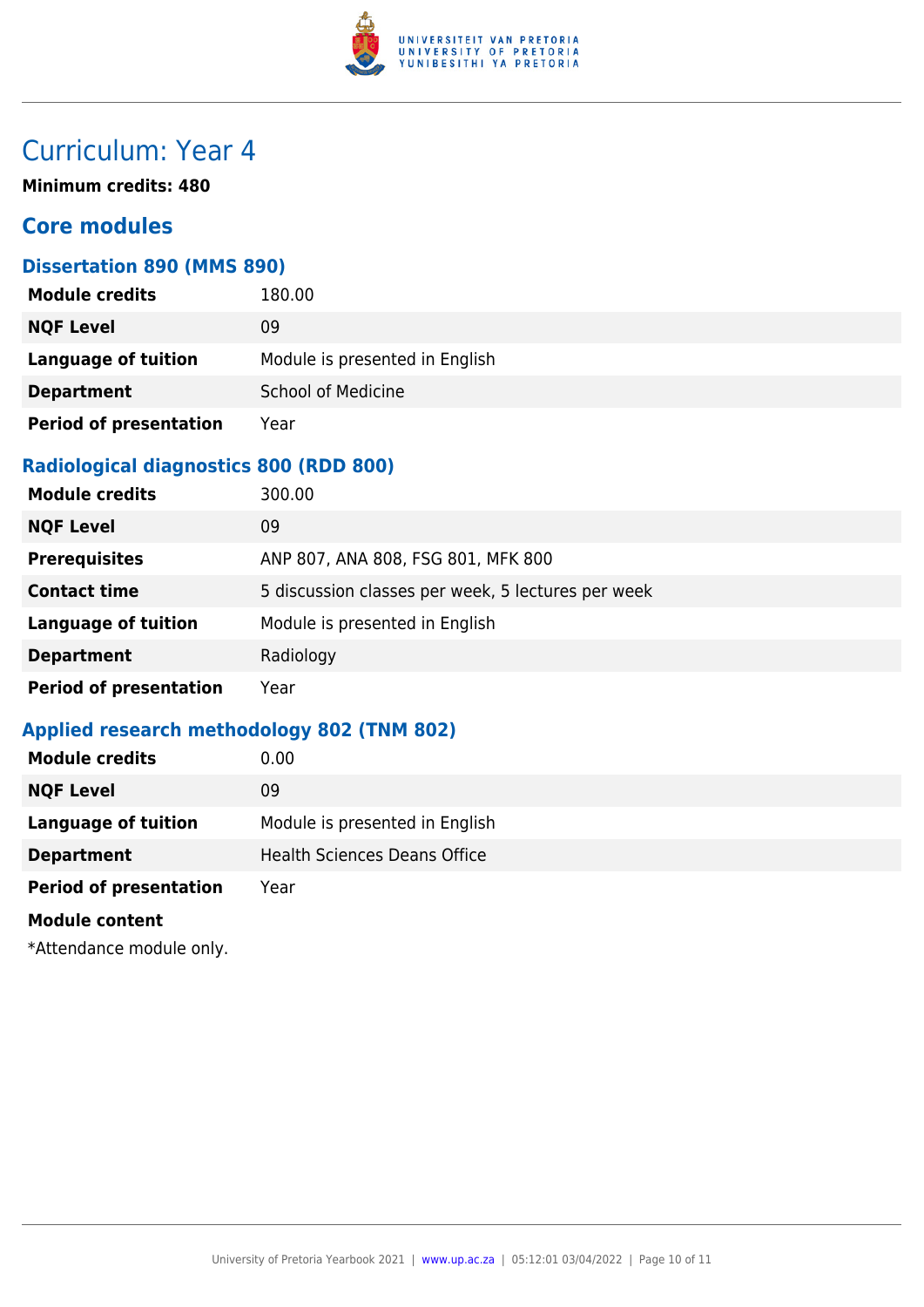

**Minimum credits: 480**

### **Core modules**

#### **Dissertation 890 (MMS 890)**

| <b>Module credits</b>         | 180.00                         |
|-------------------------------|--------------------------------|
| <b>NQF Level</b>              | 09                             |
| Language of tuition           | Module is presented in English |
| <b>Department</b>             | <b>School of Medicine</b>      |
| <b>Period of presentation</b> | Year                           |

### **Radiological diagnostics 800 (RDD 800)**

| <b>Module credits</b>         | 300.00                                             |
|-------------------------------|----------------------------------------------------|
| <b>NQF Level</b>              | 09                                                 |
| <b>Prerequisites</b>          | ANP 807, ANA 808, FSG 801, MFK 800                 |
| <b>Contact time</b>           | 5 discussion classes per week, 5 lectures per week |
| <b>Language of tuition</b>    | Module is presented in English                     |
| <b>Department</b>             | Radiology                                          |
| <b>Period of presentation</b> | Year                                               |

### **Applied research methodology 802 (TNM 802)**

| <b>Module credits</b>         | 0.00                                |
|-------------------------------|-------------------------------------|
| <b>NQF Level</b>              | 09                                  |
| <b>Language of tuition</b>    | Module is presented in English      |
| <b>Department</b>             | <b>Health Sciences Deans Office</b> |
| <b>Period of presentation</b> | Year                                |
| <b>Module content</b>         |                                     |